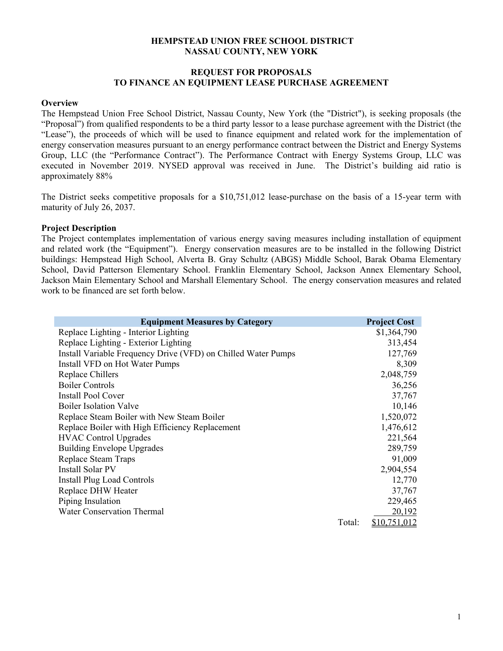### **HEMPSTEAD UNION FREE SCHOOL DISTRICT NASSAU COUNTY, NEW YORK**

# **REQUEST FOR PROPOSALS TO FINANCE AN EQUIPMENT LEASE PURCHASE AGREEMENT**

#### **Overview**

The Hempstead Union Free School District, Nassau County, New York (the "District"), is seeking proposals (the "Proposal") from qualified respondents to be a third party lessor to a lease purchase agreement with the District (the "Lease"), the proceeds of which will be used to finance equipment and related work for the implementation of energy conservation measures pursuant to an energy performance contract between the District and Energy Systems Group, LLC (the "Performance Contract"). The Performance Contract with Energy Systems Group, LLC was executed in November 2019. NYSED approval was received in June. The District's building aid ratio is approximately 88%

The District seeks competitive proposals for a \$10,751,012 lease-purchase on the basis of a 15-year term with maturity of July 26, 2037.

### **Project Description**

The Project contemplates implementation of various energy saving measures including installation of equipment and related work (the "Equipment"). Energy conservation measures are to be installed in the following District buildings: Hempstead High School, Alverta B. Gray Schultz (ABGS) Middle School, Barak Obama Elementary School, David Patterson Elementary School. Franklin Elementary School, Jackson Annex Elementary School, Jackson Main Elementary School and Marshall Elementary School. The energy conservation measures and related work to be financed are set forth below.

| <b>Equipment Measures by Category</b>                         |        | <b>Project Cost</b> |
|---------------------------------------------------------------|--------|---------------------|
| Replace Lighting - Interior Lighting                          |        | \$1,364,790         |
| Replace Lighting - Exterior Lighting                          |        | 313,454             |
| Install Variable Frequency Drive (VFD) on Chilled Water Pumps |        | 127,769             |
| Install VFD on Hot Water Pumps                                |        | 8,309               |
| Replace Chillers                                              |        | 2,048,759           |
| <b>Boiler Controls</b>                                        |        | 36,256              |
| <b>Install Pool Cover</b>                                     |        | 37,767              |
| <b>Boiler Isolation Valve</b>                                 |        | 10,146              |
| Replace Steam Boiler with New Steam Boiler                    |        | 1,520,072           |
| Replace Boiler with High Efficiency Replacement               |        | 1,476,612           |
| <b>HVAC Control Upgrades</b>                                  |        | 221,564             |
| <b>Building Envelope Upgrades</b>                             |        | 289,759             |
| Replace Steam Traps                                           |        | 91,009              |
| Install Solar PV                                              |        | 2,904,554           |
| <b>Install Plug Load Controls</b>                             |        | 12,770              |
| Replace DHW Heater                                            |        | 37,767              |
| Piping Insulation                                             |        | 229,465             |
| <b>Water Conservation Thermal</b>                             |        | 20,192              |
|                                                               | Total: | <u>\$10,751,012</u> |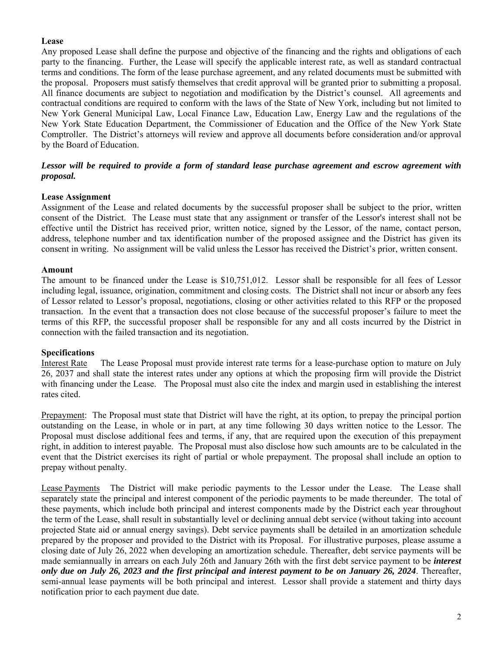# **Lease**

Any proposed Lease shall define the purpose and objective of the financing and the rights and obligations of each party to the financing. Further, the Lease will specify the applicable interest rate, as well as standard contractual terms and conditions. The form of the lease purchase agreement, and any related documents must be submitted with the proposal. Proposers must satisfy themselves that credit approval will be granted prior to submitting a proposal. All finance documents are subject to negotiation and modification by the District's counsel. All agreements and contractual conditions are required to conform with the laws of the State of New York, including but not limited to New York General Municipal Law, Local Finance Law, Education Law, Energy Law and the regulations of the New York State Education Department, the Commissioner of Education and the Office of the New York State Comptroller. The District's attorneys will review and approve all documents before consideration and/or approval by the Board of Education.

# *Lessor will be required to provide a form of standard lease purchase agreement and escrow agreement with proposal.*

# **Lease Assignment**

Assignment of the Lease and related documents by the successful proposer shall be subject to the prior, written consent of the District. The Lease must state that any assignment or transfer of the Lessor's interest shall not be effective until the District has received prior, written notice, signed by the Lessor, of the name, contact person, address, telephone number and tax identification number of the proposed assignee and the District has given its consent in writing. No assignment will be valid unless the Lessor has received the District's prior, written consent.

# **Amount**

The amount to be financed under the Lease is \$10,751,012. Lessor shall be responsible for all fees of Lessor including legal, issuance, origination, commitment and closing costs. The District shall not incur or absorb any fees of Lessor related to Lessor's proposal, negotiations, closing or other activities related to this RFP or the proposed transaction. In the event that a transaction does not close because of the successful proposer's failure to meet the terms of this RFP, the successful proposer shall be responsible for any and all costs incurred by the District in connection with the failed transaction and its negotiation.

# **Specifications**

Interest Rate The Lease Proposal must provide interest rate terms for a lease-purchase option to mature on July 26, 2037 and shall state the interest rates under any options at which the proposing firm will provide the District with financing under the Lease. The Proposal must also cite the index and margin used in establishing the interest rates cited.

Prepayment: The Proposal must state that District will have the right, at its option, to prepay the principal portion outstanding on the Lease, in whole or in part, at any time following 30 days written notice to the Lessor. The Proposal must disclose additional fees and terms, if any, that are required upon the execution of this prepayment right, in addition to interest payable. The Proposal must also disclose how such amounts are to be calculated in the event that the District exercises its right of partial or whole prepayment. The proposal shall include an option to prepay without penalty.

Lease Payments The District will make periodic payments to the Lessor under the Lease.The Lease shall separately state the principal and interest component of the periodic payments to be made thereunder. The total of these payments, which include both principal and interest components made by the District each year throughout the term of the Lease, shall result in substantially level or declining annual debt service (without taking into account projected State aid or annual energy savings). Debt service payments shall be detailed in an amortization schedule prepared by the proposer and provided to the District with its Proposal. For illustrative purposes, please assume a closing date of July 26, 2022 when developing an amortization schedule. Thereafter, debt service payments will be made semiannually in arrears on each July 26th and January 26th with the first debt service payment to be *interest only due on July 26, 2023 and the first principal and interest payment to be on January 26, 2024*. Thereafter, semi-annual lease payments will be both principal and interest. Lessor shall provide a statement and thirty days notification prior to each payment due date.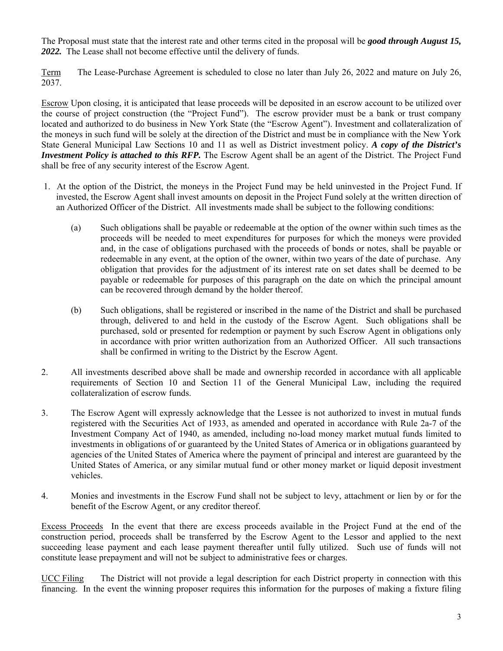The Proposal must state that the interest rate and other terms cited in the proposal will be *good through August 15, 2022.* The Lease shall not become effective until the delivery of funds.

Term The Lease-Purchase Agreement is scheduled to close no later than July 26, 2022 and mature on July 26, 2037.

Escrow Upon closing, it is anticipated that lease proceeds will be deposited in an escrow account to be utilized over the course of project construction (the "Project Fund"). The escrow provider must be a bank or trust company located and authorized to do business in New York State (the "Escrow Agent"). Investment and collateralization of the moneys in such fund will be solely at the direction of the District and must be in compliance with the New York State General Municipal Law Sections 10 and 11 as well as District investment policy. *A copy of the District's Investment Policy is attached to this RFP.* The Escrow Agent shall be an agent of the District. The Project Fund shall be free of any security interest of the Escrow Agent.

- 1. At the option of the District, the moneys in the Project Fund may be held uninvested in the Project Fund. If invested, the Escrow Agent shall invest amounts on deposit in the Project Fund solely at the written direction of an Authorized Officer of the District. All investments made shall be subject to the following conditions:
	- (a) Such obligations shall be payable or redeemable at the option of the owner within such times as the proceeds will be needed to meet expenditures for purposes for which the moneys were provided and, in the case of obligations purchased with the proceeds of bonds or notes, shall be payable or redeemable in any event, at the option of the owner, within two years of the date of purchase. Any obligation that provides for the adjustment of its interest rate on set dates shall be deemed to be payable or redeemable for purposes of this paragraph on the date on which the principal amount can be recovered through demand by the holder thereof.
	- (b) Such obligations, shall be registered or inscribed in the name of the District and shall be purchased through, delivered to and held in the custody of the Escrow Agent. Such obligations shall be purchased, sold or presented for redemption or payment by such Escrow Agent in obligations only in accordance with prior written authorization from an Authorized Officer. All such transactions shall be confirmed in writing to the District by the Escrow Agent.
- 2. All investments described above shall be made and ownership recorded in accordance with all applicable requirements of Section 10 and Section 11 of the General Municipal Law, including the required collateralization of escrow funds.
- 3. The Escrow Agent will expressly acknowledge that the Lessee is not authorized to invest in mutual funds registered with the Securities Act of 1933, as amended and operated in accordance with Rule 2a-7 of the Investment Company Act of 1940, as amended, including no-load money market mutual funds limited to investments in obligations of or guaranteed by the United States of America or in obligations guaranteed by agencies of the United States of America where the payment of principal and interest are guaranteed by the United States of America, or any similar mutual fund or other money market or liquid deposit investment vehicles.
- 4. Monies and investments in the Escrow Fund shall not be subject to levy, attachment or lien by or for the benefit of the Escrow Agent, or any creditor thereof.

Excess Proceeds In the event that there are excess proceeds available in the Project Fund at the end of the construction period, proceeds shall be transferred by the Escrow Agent to the Lessor and applied to the next succeeding lease payment and each lease payment thereafter until fully utilized. Such use of funds will not constitute lease prepayment and will not be subject to administrative fees or charges.

UCC Filing The District will not provide a legal description for each District property in connection with this financing. In the event the winning proposer requires this information for the purposes of making a fixture filing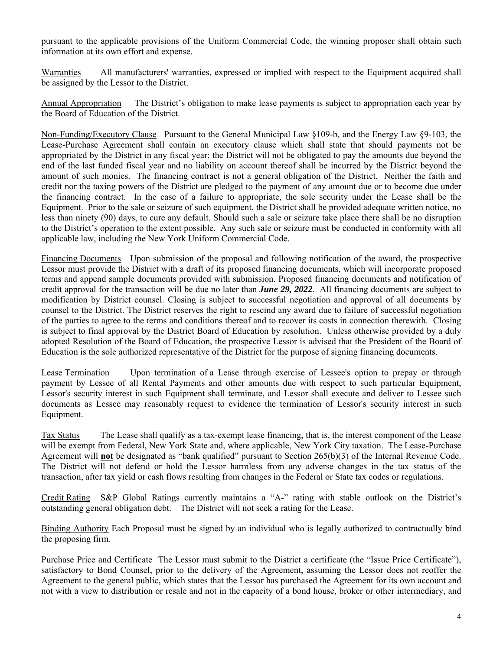pursuant to the applicable provisions of the Uniform Commercial Code, the winning proposer shall obtain such information at its own effort and expense.

Warranties All manufacturers' warranties, expressed or implied with respect to the Equipment acquired shall be assigned by the Lessor to the District.

Annual Appropriation The District's obligation to make lease payments is subject to appropriation each year by the Board of Education of the District.

Non-Funding/Executory Clause Pursuant to the General Municipal Law §109-b, and the Energy Law §9-103, the Lease-Purchase Agreement shall contain an executory clause which shall state that should payments not be appropriated by the District in any fiscal year; the District will not be obligated to pay the amounts due beyond the end of the last funded fiscal year and no liability on account thereof shall be incurred by the District beyond the amount of such monies. The financing contract is not a general obligation of the District. Neither the faith and credit nor the taxing powers of the District are pledged to the payment of any amount due or to become due under the financing contract. In the case of a failure to appropriate, the sole security under the Lease shall be the Equipment. Prior to the sale or seizure of such equipment, the District shall be provided adequate written notice, no less than ninety (90) days, to cure any default. Should such a sale or seizure take place there shall be no disruption to the District's operation to the extent possible. Any such sale or seizure must be conducted in conformity with all applicable law, including the New York Uniform Commercial Code.

Financing Documents Upon submission of the proposal and following notification of the award, the prospective Lessor must provide the District with a draft of its proposed financing documents, which will incorporate proposed terms and append sample documents provided with submission. Proposed financing documents and notification of credit approval for the transaction will be due no later than *June 29, 2022*. All financing documents are subject to modification by District counsel. Closing is subject to successful negotiation and approval of all documents by counsel to the District. The District reserves the right to rescind any award due to failure of successful negotiation of the parties to agree to the terms and conditions thereof and to recover its costs in connection therewith. Closing is subject to final approval by the District Board of Education by resolution. Unless otherwise provided by a duly adopted Resolution of the Board of Education, the prospective Lessor is advised that the President of the Board of Education is the sole authorized representative of the District for the purpose of signing financing documents.

Lease Termination Upon termination of a Lease through exercise of Lessee's option to prepay or through payment by Lessee of all Rental Payments and other amounts due with respect to such particular Equipment, Lessor's security interest in such Equipment shall terminate, and Lessor shall execute and deliver to Lessee such documents as Lessee may reasonably request to evidence the termination of Lessor's security interest in such Equipment.

Tax Status The Lease shall qualify as a tax-exempt lease financing, that is, the interest component of the Lease will be exempt from Federal, New York State and, where applicable, New York City taxation. The Lease-Purchase Agreement will **not** be designated as "bank qualified" pursuant to Section 265(b)(3) of the Internal Revenue Code. The District will not defend or hold the Lessor harmless from any adverse changes in the tax status of the transaction, after tax yield or cash flows resulting from changes in the Federal or State tax codes or regulations.

Credit Rating S&P Global Ratings currently maintains a "A-" rating with stable outlook on the District's outstanding general obligation debt. The District will not seek a rating for the Lease.

Binding Authority Each Proposal must be signed by an individual who is legally authorized to contractually bind the proposing firm.

Purchase Price and Certificate The Lessor must submit to the District a certificate (the "Issue Price Certificate"), satisfactory to Bond Counsel, prior to the delivery of the Agreement, assuming the Lessor does not reoffer the Agreement to the general public, which states that the Lessor has purchased the Agreement for its own account and not with a view to distribution or resale and not in the capacity of a bond house, broker or other intermediary, and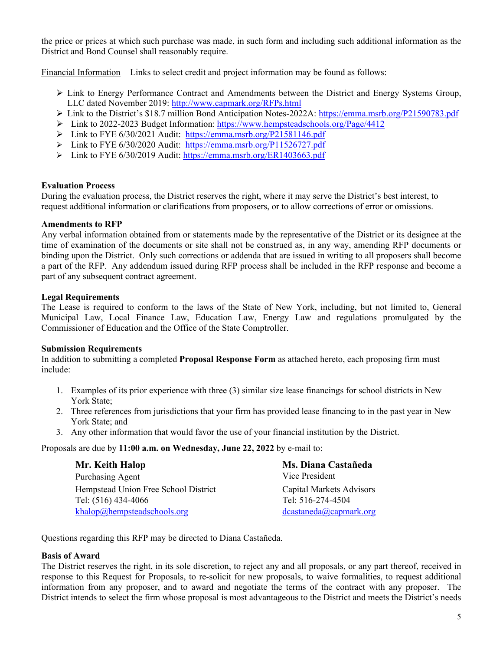the price or prices at which such purchase was made, in such form and including such additional information as the District and Bond Counsel shall reasonably require.

Financial Information Links to select credit and project information may be found as follows:

- $\triangleright$  Link to Energy Performance Contract and Amendments between the District and Energy Systems Group, LLC dated November 2019: http://www.capmark.org/RFPs.html
- Link to the District's \$18.7 million Bond Anticipation Notes-2022A: https://emma.msrb.org/P21590783.pdf
- Link to 2022-2023 Budget Information: https://www.hempsteadschools.org/Page/4412
- Link to FYE 6/30/2021 Audit: https://emma.msrb.org/P21581146.pdf
- Link to FYE 6/30/2020 Audit: https://emma.msrb.org/P11526727.pdf
- Link to FYE 6/30/2019 Audit: https://emma.msrb.org/ER1403663.pdf

# **Evaluation Process**

During the evaluation process, the District reserves the right, where it may serve the District's best interest, to request additional information or clarifications from proposers, or to allow corrections of error or omissions.

### **Amendments to RFP**

Any verbal information obtained from or statements made by the representative of the District or its designee at the time of examination of the documents or site shall not be construed as, in any way, amending RFP documents or binding upon the District. Only such corrections or addenda that are issued in writing to all proposers shall become a part of the RFP. Any addendum issued during RFP process shall be included in the RFP response and become a part of any subsequent contract agreement.

# **Legal Requirements**

The Lease is required to conform to the laws of the State of New York, including, but not limited to, General Municipal Law, Local Finance Law, Education Law, Energy Law and regulations promulgated by the Commissioner of Education and the Office of the State Comptroller.

### **Submission Requirements**

In addition to submitting a completed **Proposal Response Form** as attached hereto, each proposing firm must include:

- 1. Examples of its prior experience with three (3) similar size lease financings for school districts in New York State;
- 2. Three references from jurisdictions that your firm has provided lease financing to in the past year in New York State; and
- 3. Any other information that would favor the use of your financial institution by the District.

Proposals are due by **11:00 a.m. on Wednesday, June 22, 2022** by e-mail to:

| Mr. Keith Halop                      | Ms. Diana Castañeda      |
|--------------------------------------|--------------------------|
| Purchasing Agent                     | Vice President           |
| Hempstead Union Free School District | Capital Markets Advisors |
| Tel: (516) 434-4066                  | Tel: 516-274-4504        |
| khalop@hempsteadschools.org          | dcastaneda@capmark.org   |

Questions regarding this RFP may be directed to Diana Castañeda.

# **Basis of Award**

The District reserves the right, in its sole discretion, to reject any and all proposals, or any part thereof, received in response to this Request for Proposals, to re-solicit for new proposals, to waive formalities, to request additional information from any proposer, and to award and negotiate the terms of the contract with any proposer. The District intends to select the firm whose proposal is most advantageous to the District and meets the District's needs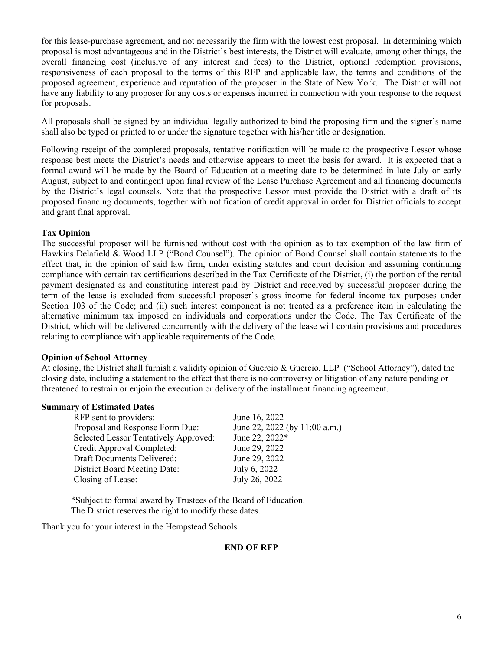for this lease-purchase agreement, and not necessarily the firm with the lowest cost proposal. In determining which proposal is most advantageous and in the District's best interests, the District will evaluate, among other things, the overall financing cost (inclusive of any interest and fees) to the District, optional redemption provisions, responsiveness of each proposal to the terms of this RFP and applicable law, the terms and conditions of the proposed agreement, experience and reputation of the proposer in the State of New York. The District will not have any liability to any proposer for any costs or expenses incurred in connection with your response to the request for proposals.

All proposals shall be signed by an individual legally authorized to bind the proposing firm and the signer's name shall also be typed or printed to or under the signature together with his/her title or designation.

Following receipt of the completed proposals, tentative notification will be made to the prospective Lessor whose response best meets the District's needs and otherwise appears to meet the basis for award. It is expected that a formal award will be made by the Board of Education at a meeting date to be determined in late July or early August, subject to and contingent upon final review of the Lease Purchase Agreement and all financing documents by the District's legal counsels. Note that the prospective Lessor must provide the District with a draft of its proposed financing documents, together with notification of credit approval in order for District officials to accept and grant final approval.

### **Tax Opinion**

The successful proposer will be furnished without cost with the opinion as to tax exemption of the law firm of Hawkins Delafield & Wood LLP ("Bond Counsel"). The opinion of Bond Counsel shall contain statements to the effect that, in the opinion of said law firm, under existing statutes and court decision and assuming continuing compliance with certain tax certifications described in the Tax Certificate of the District, (i) the portion of the rental payment designated as and constituting interest paid by District and received by successful proposer during the term of the lease is excluded from successful proposer's gross income for federal income tax purposes under Section 103 of the Code; and (ii) such interest component is not treated as a preference item in calculating the alternative minimum tax imposed on individuals and corporations under the Code. The Tax Certificate of the District, which will be delivered concurrently with the delivery of the lease will contain provisions and procedures relating to compliance with applicable requirements of the Code.

### **Opinion of School Attorney**

At closing, the District shall furnish a validity opinion of Guercio & Guercio, LLP ("School Attorney"), dated the closing date, including a statement to the effect that there is no controversy or litigation of any nature pending or threatened to restrain or enjoin the execution or delivery of the installment financing agreement.

### **Summary of Estimated Dates**

| RFP sent to providers:                | June 16, 2022                 |
|---------------------------------------|-------------------------------|
| Proposal and Response Form Due:       | June 22, 2022 (by 11:00 a.m.) |
| Selected Lessor Tentatively Approved: | June 22, 2022*                |
| Credit Approval Completed:            | June 29, 2022                 |
| Draft Documents Delivered:            | June 29, 2022                 |
| <b>District Board Meeting Date:</b>   | July 6, 2022                  |
| Closing of Lease:                     | July 26, 2022                 |
|                                       |                               |

\*Subject to formal award by Trustees of the Board of Education. The District reserves the right to modify these dates.

Thank you for your interest in the Hempstead Schools.

### **END OF RFP**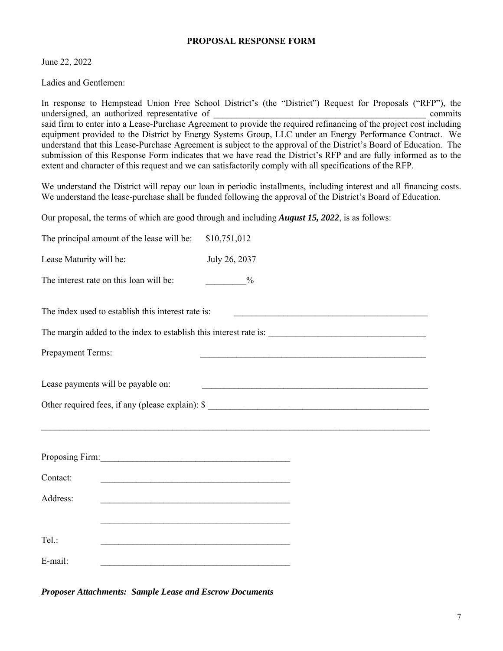#### **PROPOSAL RESPONSE FORM**

June 22, 2022

Ladies and Gentlemen:

In response to Hempstead Union Free School District's (the "District") Request for Proposals ("RFP"), the undersigned, an authorized representative of  $\blacksquare$ said firm to enter into a Lease-Purchase Agreement to provide the required refinancing of the project cost including equipment provided to the District by Energy Systems Group, LLC under an Energy Performance Contract. We understand that this Lease-Purchase Agreement is subject to the approval of the District's Board of Education. The submission of this Response Form indicates that we have read the District's RFP and are fully informed as to the extent and character of this request and we can satisfactorily comply with all specifications of the RFP.

We understand the District will repay our loan in periodic installments, including interest and all financing costs. We understand the lease-purchase shall be funded following the approval of the District's Board of Education.

Our proposal, the terms of which are good through and including *August 15, 2022*, is as follows:

| The principal amount of the lease will be:                                                                                                                                                                                                                                                          | \$10,751,012                                                                                                         |  |  |
|-----------------------------------------------------------------------------------------------------------------------------------------------------------------------------------------------------------------------------------------------------------------------------------------------------|----------------------------------------------------------------------------------------------------------------------|--|--|
| Lease Maturity will be:                                                                                                                                                                                                                                                                             | July 26, 2037                                                                                                        |  |  |
| The interest rate on this loan will be:                                                                                                                                                                                                                                                             | $\frac{0}{10}$                                                                                                       |  |  |
| The index used to establish this interest rate is:<br><u> 1989 - Johann Barn, amerikansk politiker (d. 1989)</u>                                                                                                                                                                                    |                                                                                                                      |  |  |
| Prepayment Terms:                                                                                                                                                                                                                                                                                   | <u> 2000 - Jan James James James James James James James James James James James James James James James James J</u> |  |  |
| Lease payments will be payable on:<br><u> 1989 - Jan James James James James James James James James James James James James James James James James J</u><br>Other required fees, if any (please explain): \$<br>,我们也不能在这里的时候,我们也不能在这里的时候,我们也不能会在这里的时候,我们也不能会在这里的时候,我们也不能会在这里的时候,我们也不能会在这里的时候,我们也不 |                                                                                                                      |  |  |
|                                                                                                                                                                                                                                                                                                     |                                                                                                                      |  |  |
| Contact:                                                                                                                                                                                                                                                                                            |                                                                                                                      |  |  |
| Address:                                                                                                                                                                                                                                                                                            |                                                                                                                      |  |  |
|                                                                                                                                                                                                                                                                                                     |                                                                                                                      |  |  |
| Tel.:<br><u> 1989 - Johann Stoff, amerikansk politiker (* 1908)</u>                                                                                                                                                                                                                                 |                                                                                                                      |  |  |
| E-mail:                                                                                                                                                                                                                                                                                             |                                                                                                                      |  |  |

*Proposer Attachments: Sample Lease and Escrow Documents*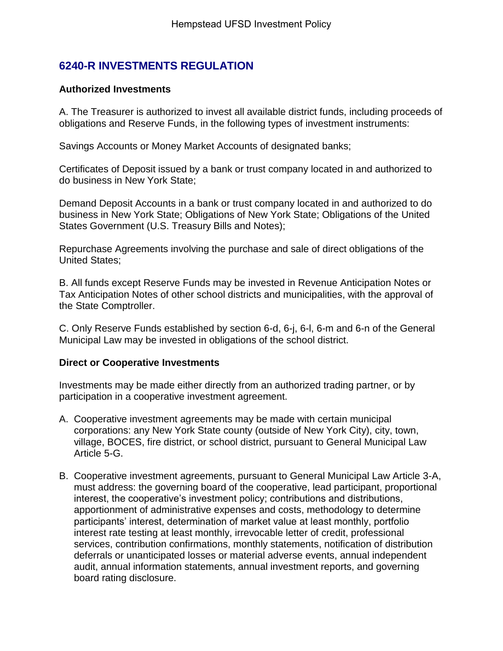# **6240-R INVESTMENTS REGULATION**

# **Authorized Investments**

A. The Treasurer is authorized to invest all available district funds, including proceeds of obligations and Reserve Funds, in the following types of investment instruments:

Savings Accounts or Money Market Accounts of designated banks;

Certificates of Deposit issued by a bank or trust company located in and authorized to do business in New York State;

Demand Deposit Accounts in a bank or trust company located in and authorized to do business in New York State; Obligations of New York State; Obligations of the United States Government (U.S. Treasury Bills and Notes);

Repurchase Agreements involving the purchase and sale of direct obligations of the United States;

B. All funds except Reserve Funds may be invested in Revenue Anticipation Notes or Tax Anticipation Notes of other school districts and municipalities, with the approval of the State Comptroller.

C. Only Reserve Funds established by section 6-d, 6-j, 6-l, 6-m and 6-n of the General Municipal Law may be invested in obligations of the school district.

# **Direct or Cooperative Investments**

Investments may be made either directly from an authorized trading partner, or by participation in a cooperative investment agreement.

- A. Cooperative investment agreements may be made with certain municipal corporations: any New York State county (outside of New York City), city, town, village, BOCES, fire district, or school district, pursuant to General Municipal Law Article 5-G.
- B. Cooperative investment agreements, pursuant to General Municipal Law Article 3-A, must address: the governing board of the cooperative, lead participant, proportional interest, the cooperative's investment policy; contributions and distributions, apportionment of administrative expenses and costs, methodology to determine participants' interest, determination of market value at least monthly, portfolio interest rate testing at least monthly, irrevocable letter of credit, professional services, contribution confirmations, monthly statements, notification of distribution deferrals or unanticipated losses or material adverse events, annual independent audit, annual information statements, annual investment reports, and governing board rating disclosure.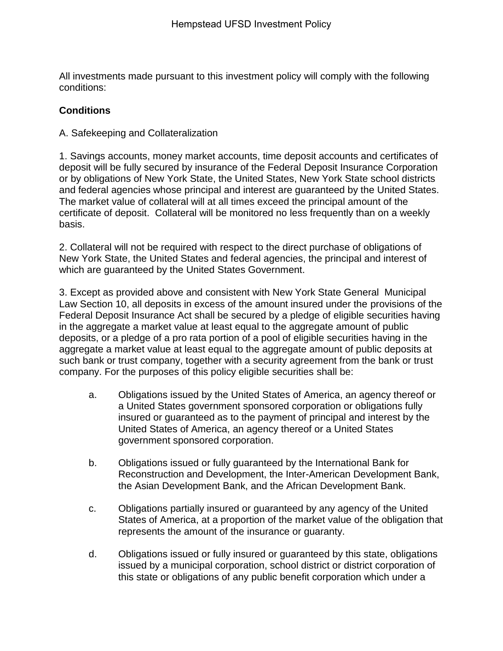All investments made pursuant to this investment policy will comply with the following conditions:

# **Conditions**

A. Safekeeping and Collateralization

1. Savings accounts, money market accounts, time deposit accounts and certificates of deposit will be fully secured by insurance of the Federal Deposit Insurance Corporation or by obligations of New York State, the United States, New York State school districts and federal agencies whose principal and interest are guaranteed by the United States. The market value of collateral will at all times exceed the principal amount of the certificate of deposit. Collateral will be monitored no less frequently than on a weekly basis.

2. Collateral will not be required with respect to the direct purchase of obligations of New York State, the United States and federal agencies, the principal and interest of which are guaranteed by the United States Government.

3. Except as provided above and consistent with New York State General Municipal Law Section 10, all deposits in excess of the amount insured under the provisions of the Federal Deposit Insurance Act shall be secured by a pledge of eligible securities having in the aggregate a market value at least equal to the aggregate amount of public deposits, or a pledge of a pro rata portion of a pool of eligible securities having in the aggregate a market value at least equal to the aggregate amount of public deposits at such bank or trust company, together with a security agreement from the bank or trust company. For the purposes of this policy eligible securities shall be:

- a. Obligations issued by the United States of America, an agency thereof or a United States government sponsored corporation or obligations fully insured or guaranteed as to the payment of principal and interest by the United States of America, an agency thereof or a United States government sponsored corporation.
- b. Obligations issued or fully guaranteed by the International Bank for Reconstruction and Development, the Inter-American Development Bank, the Asian Development Bank, and the African Development Bank.
- c. Obligations partially insured or guaranteed by any agency of the United States of America, at a proportion of the market value of the obligation that represents the amount of the insurance or guaranty.
- d. Obligations issued or fully insured or guaranteed by this state, obligations issued by a municipal corporation, school district or district corporation of this state or obligations of any public benefit corporation which under a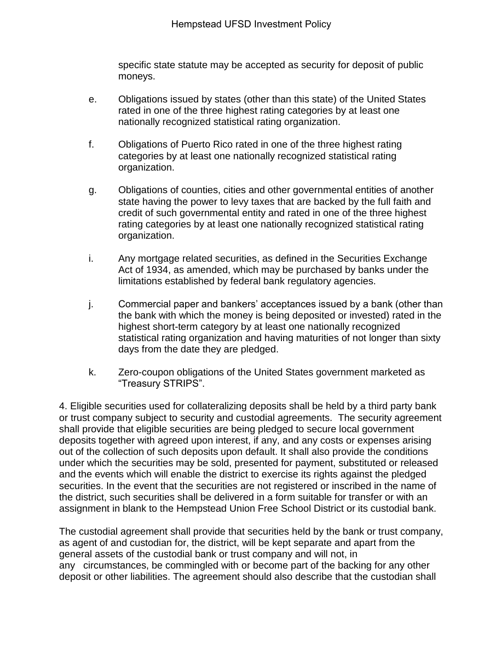specific state statute may be accepted as security for deposit of public moneys.

- e. Obligations issued by states (other than this state) of the United States rated in one of the three highest rating categories by at least one nationally recognized statistical rating organization.
- f. Obligations of Puerto Rico rated in one of the three highest rating categories by at least one nationally recognized statistical rating organization.
- g. Obligations of counties, cities and other governmental entities of another state having the power to levy taxes that are backed by the full faith and credit of such governmental entity and rated in one of the three highest rating categories by at least one nationally recognized statistical rating organization.
- i. Any mortgage related securities, as defined in the Securities Exchange Act of 1934, as amended, which may be purchased by banks under the limitations established by federal bank regulatory agencies.
- j. Commercial paper and bankers' acceptances issued by a bank (other than the bank with which the money is being deposited or invested) rated in the highest short-term category by at least one nationally recognized statistical rating organization and having maturities of not longer than sixty days from the date they are pledged.
- k. Zero-coupon obligations of the United States government marketed as "Treasury STRIPS".

4. Eligible securities used for collateralizing deposits shall be held by a third party bank or trust company subject to security and custodial agreements. The security agreement shall provide that eligible securities are being pledged to secure local government deposits together with agreed upon interest, if any, and any costs or expenses arising out of the collection of such deposits upon default. It shall also provide the conditions under which the securities may be sold, presented for payment, substituted or released and the events which will enable the district to exercise its rights against the pledged securities. In the event that the securities are not registered or inscribed in the name of the district, such securities shall be delivered in a form suitable for transfer or with an assignment in blank to the Hempstead Union Free School District or its custodial bank.

The custodial agreement shall provide that securities held by the bank or trust company, as agent of and custodian for, the district, will be kept separate and apart from the general assets of the custodial bank or trust company and will not, in any circumstances, be commingled with or become part of the backing for any other deposit or other liabilities. The agreement should also describe that the custodian shall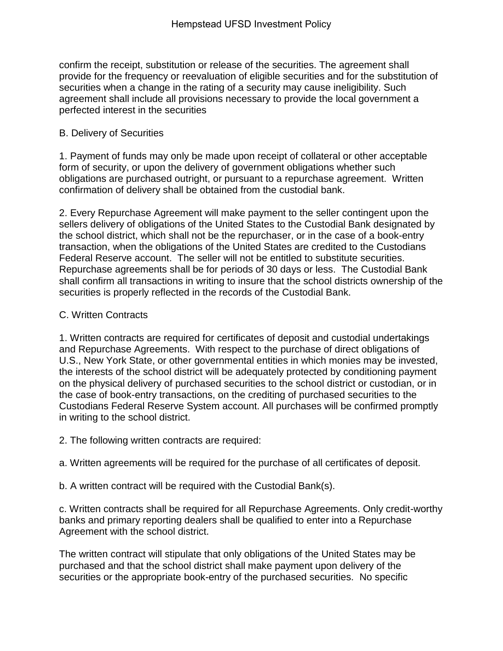confirm the receipt, substitution or release of the securities. The agreement shall provide for the frequency or reevaluation of eligible securities and for the substitution of securities when a change in the rating of a security may cause ineligibility. Such agreement shall include all provisions necessary to provide the local government a perfected interest in the securities

# B. Delivery of Securities

1. Payment of funds may only be made upon receipt of collateral or other acceptable form of security, or upon the delivery of government obligations whether such obligations are purchased outright, or pursuant to a repurchase agreement. Written confirmation of delivery shall be obtained from the custodial bank.

2. Every Repurchase Agreement will make payment to the seller contingent upon the sellers delivery of obligations of the United States to the Custodial Bank designated by the school district, which shall not be the repurchaser, or in the case of a book-entry transaction, when the obligations of the United States are credited to the Custodians Federal Reserve account. The seller will not be entitled to substitute securities. Repurchase agreements shall be for periods of 30 days or less. The Custodial Bank shall confirm all transactions in writing to insure that the school districts ownership of the securities is properly reflected in the records of the Custodial Bank.

# C. Written Contracts

1. Written contracts are required for certificates of deposit and custodial undertakings and Repurchase Agreements. With respect to the purchase of direct obligations of U.S., New York State, or other governmental entities in which monies may be invested, the interests of the school district will be adequately protected by conditioning payment on the physical delivery of purchased securities to the school district or custodian, or in the case of book-entry transactions, on the crediting of purchased securities to the Custodians Federal Reserve System account. All purchases will be confirmed promptly in writing to the school district.

2. The following written contracts are required:

a. Written agreements will be required for the purchase of all certificates of deposit.

b. A written contract will be required with the Custodial Bank(s).

c. Written contracts shall be required for all Repurchase Agreements. Only credit-worthy banks and primary reporting dealers shall be qualified to enter into a Repurchase Agreement with the school district.

The written contract will stipulate that only obligations of the United States may be purchased and that the school district shall make payment upon delivery of the securities or the appropriate book-entry of the purchased securities. No specific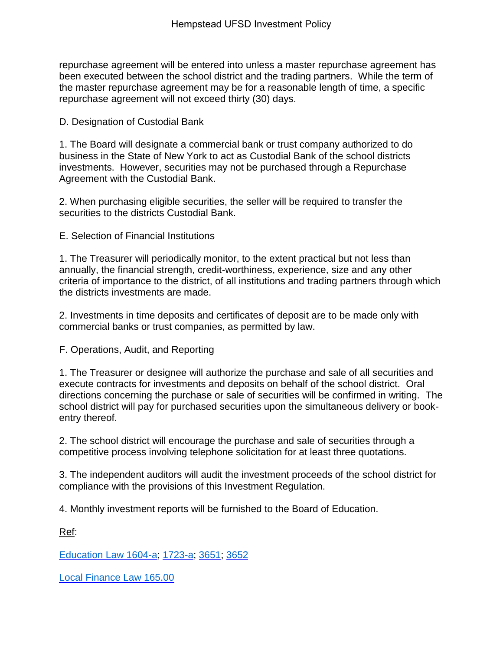repurchase agreement will be entered into unless a master repurchase agreement has been executed between the school district and the trading partners. While the term of the master repurchase agreement may be for a reasonable length of time, a specific repurchase agreement will not exceed thirty (30) days.

D. Designation of Custodial Bank

1. The Board will designate a commercial bank or trust company authorized to do business in the State of New York to act as Custodial Bank of the school districts investments. However, securities may not be purchased through a Repurchase Agreement with the Custodial Bank.

2. When purchasing eligible securities, the seller will be required to transfer the securities to the districts Custodial Bank.

E. Selection of Financial Institutions

1. The Treasurer will periodically monitor, to the extent practical but not less than annually, the financial strength, credit-worthiness, experience, size and any other criteria of importance to the district, of all institutions and trading partners through which the districts investments are made.

2. Investments in time deposits and certificates of deposit are to be made only with commercial banks or trust companies, as permitted by law.

F. Operations, Audit, and Reporting

1. The Treasurer or designee will authorize the purchase and sale of all securities and execute contracts for investments and deposits on behalf of the school district. Oral directions concerning the purchase or sale of securities will be confirmed in writing. The school district will pay for purchased securities upon the simultaneous delivery or bookentry thereof.

2. The school district will encourage the purchase and sale of securities through a competitive process involving telephone solicitation for at least three quotations.

3. The independent auditors will audit the investment proceeds of the school district for compliance with the provisions of this Investment Regulation.

4. Monthly investment reports will be furnished to the Board of Education.

Ref:

[Education Law 1604-a;](http://redirector.microscribepub.com/?loc=ny&cat=code&id=EDN&spec=1604-a) [1723-a;](http://redirector.microscribepub.com/?loc=ny&cat=code&id=EDN&spec=1723-a) [3651;](http://redirector.microscribepub.com/?loc=ny&cat=code&id=EDN&spec=3651) [3652](http://redirector.microscribepub.com/?loc=ny&cat=code&id=EDN&spec=3652)

[Local Finance Law 165.00](http://redirector.microscribepub.com/?loc=ny&cat=code&id=LFN&spec=165.00)